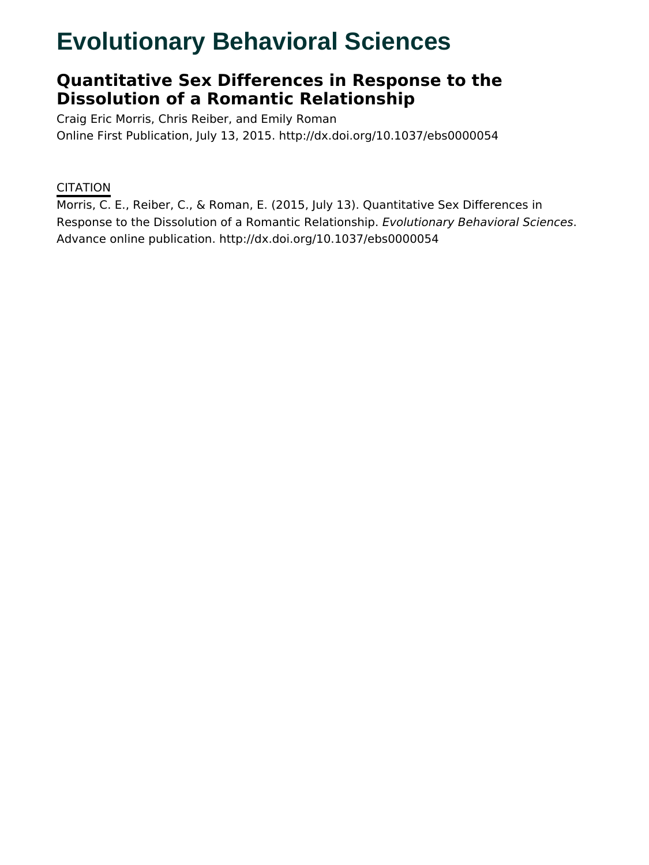# **Evolutionary Behavioral Sciences**

# **Quantitative Sex Differences in Response to the Dissolution of a Romantic Relationship**

Craig Eric Morris, Chris Reiber, and Emily Roman Online First Publication, July 13, 2015. http://dx.doi.org/10.1037/ebs0000054

## **CITATION**

Morris, C. E., Reiber, C., & Roman, E. (2015, July 13). Quantitative Sex Differences in Response to the Dissolution of a Romantic Relationship. Evolutionary Behavioral Sciences. Advance online publication. http://dx.doi.org/10.1037/ebs0000054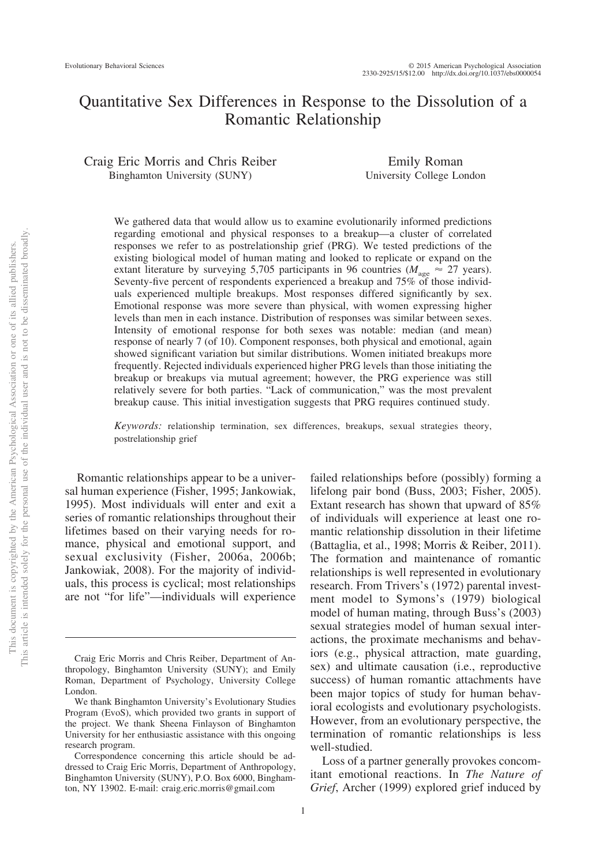### Quantitative Sex Differences in Response to the Dissolution of a Romantic Relationship

Craig Eric Morris and Chris Reiber Binghamton University (SUNY)

Emily Roman University College London

We gathered data that would allow us to examine evolutionarily informed predictions regarding emotional and physical responses to a breakup—a cluster of correlated responses we refer to as postrelationship grief (PRG). We tested predictions of the existing biological model of human mating and looked to replicate or expand on the extant literature by surveying 5,705 participants in 96 countries ( $M_{\text{age}} \approx 27$  years). Seventy-five percent of respondents experienced a breakup and 75% of those individuals experienced multiple breakups. Most responses differed significantly by sex. Emotional response was more severe than physical, with women expressing higher levels than men in each instance. Distribution of responses was similar between sexes. Intensity of emotional response for both sexes was notable: median (and mean) response of nearly 7 (of 10). Component responses, both physical and emotional, again showed significant variation but similar distributions. Women initiated breakups more frequently. Rejected individuals experienced higher PRG levels than those initiating the breakup or breakups via mutual agreement; however, the PRG experience was still relatively severe for both parties. "Lack of communication," was the most prevalent breakup cause. This initial investigation suggests that PRG requires continued study.

*Keywords:* relationship termination, sex differences, breakups, sexual strategies theory, postrelationship grief

Romantic relationships appear to be a universal human experience (Fisher, 1995; Jankowiak, 1995). Most individuals will enter and exit a series of romantic relationships throughout their lifetimes based on their varying needs for romance, physical and emotional support, and sexual exclusivity (Fisher, 2006a, 2006b; Jankowiak, 2008). For the majority of individuals, this process is cyclical; most relationships are not "for life"—individuals will experience failed relationships before (possibly) forming a lifelong pair bond (Buss, 2003; Fisher, 2005). Extant research has shown that upward of 85% of individuals will experience at least one romantic relationship dissolution in their lifetime (Battaglia, et al., 1998; Morris & Reiber, 2011). The formation and maintenance of romantic relationships is well represented in evolutionary research. From Trivers's (1972) parental investment model to Symons's (1979) biological model of human mating, through Buss's (2003) sexual strategies model of human sexual interactions, the proximate mechanisms and behaviors (e.g., physical attraction, mate guarding, sex) and ultimate causation (i.e., reproductive success) of human romantic attachments have been major topics of study for human behavioral ecologists and evolutionary psychologists. However, from an evolutionary perspective, the termination of romantic relationships is less well-studied.

Loss of a partner generally provokes concomitant emotional reactions. In *The Nature of Grief*, Archer (1999) explored grief induced by

Craig Eric Morris and Chris Reiber, Department of Anthropology, Binghamton University (SUNY); and Emily Roman, Department of Psychology, University College London.

We thank Binghamton University's Evolutionary Studies Program (EvoS), which provided two grants in support of the project. We thank Sheena Finlayson of Binghamton University for her enthusiastic assistance with this ongoing research program.

Correspondence concerning this article should be addressed to Craig Eric Morris, Department of Anthropology, Binghamton University (SUNY), P.O. Box 6000, Binghamton, NY 13902. E-mail: craig.eric.morris@gmail.com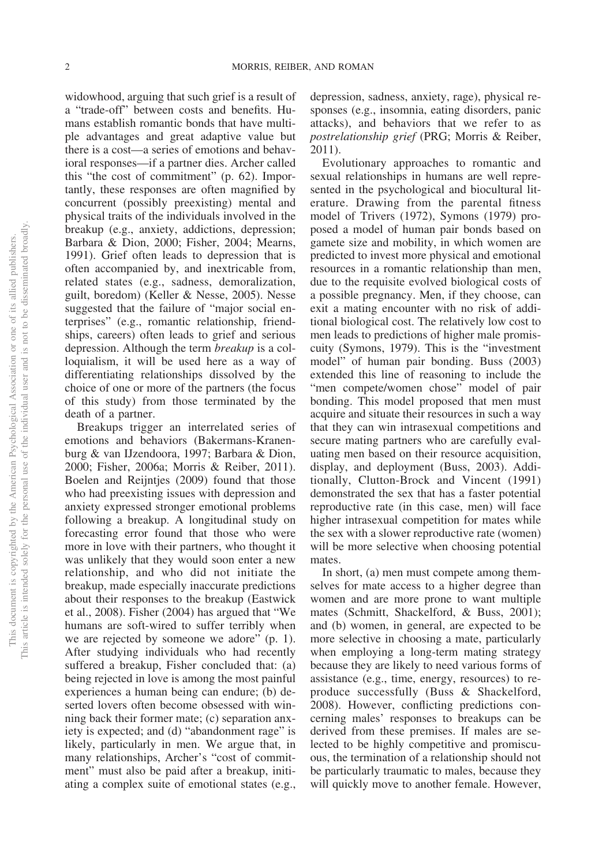widowhood, arguing that such grief is a result of a "trade-off" between costs and benefits. Humans establish romantic bonds that have multiple advantages and great adaptive value but there is a cost—a series of emotions and behavioral responses—if a partner dies. Archer called this "the cost of commitment" (p. 62). Importantly, these responses are often magnified by concurrent (possibly preexisting) mental and physical traits of the individuals involved in the breakup (e.g., anxiety, addictions, depression; Barbara & Dion, 2000; Fisher, 2004; Mearns, 1991). Grief often leads to depression that is often accompanied by, and inextricable from, related states (e.g., sadness, demoralization, guilt, boredom) (Keller & Nesse, 2005). Nesse suggested that the failure of "major social enterprises" (e.g., romantic relationship, friendships, careers) often leads to grief and serious depression. Although the term *breakup* is a colloquialism, it will be used here as a way of differentiating relationships dissolved by the choice of one or more of the partners (the focus of this study) from those terminated by the death of a partner.

Breakups trigger an interrelated series of emotions and behaviors (Bakermans-Kranenburg & van IJzendoora, 1997; Barbara & Dion, 2000; Fisher, 2006a; Morris & Reiber, 2011). Boelen and Reijntjes (2009) found that those who had preexisting issues with depression and anxiety expressed stronger emotional problems following a breakup. A longitudinal study on forecasting error found that those who were more in love with their partners, who thought it was unlikely that they would soon enter a new relationship, and who did not initiate the breakup, made especially inaccurate predictions about their responses to the breakup (Eastwick et al., 2008). Fisher (2004) has argued that "We humans are soft-wired to suffer terribly when we are rejected by someone we adore" (p. 1). After studying individuals who had recently suffered a breakup, Fisher concluded that: (a) being rejected in love is among the most painful experiences a human being can endure; (b) deserted lovers often become obsessed with winning back their former mate; (c) separation anxiety is expected; and (d) "abandonment rage" is likely, particularly in men. We argue that, in many relationships, Archer's "cost of commitment" must also be paid after a breakup, initiating a complex suite of emotional states (e.g.,

depression, sadness, anxiety, rage), physical responses (e.g., insomnia, eating disorders, panic attacks), and behaviors that we refer to as *postrelationship grief* (PRG; Morris & Reiber, 2011).

Evolutionary approaches to romantic and sexual relationships in humans are well represented in the psychological and biocultural literature. Drawing from the parental fitness model of Trivers (1972), Symons (1979) proposed a model of human pair bonds based on gamete size and mobility, in which women are predicted to invest more physical and emotional resources in a romantic relationship than men, due to the requisite evolved biological costs of a possible pregnancy. Men, if they choose, can exit a mating encounter with no risk of additional biological cost. The relatively low cost to men leads to predictions of higher male promiscuity (Symons, 1979). This is the "investment model" of human pair bonding. Buss (2003) extended this line of reasoning to include the "men compete/women chose" model of pair bonding. This model proposed that men must acquire and situate their resources in such a way that they can win intrasexual competitions and secure mating partners who are carefully evaluating men based on their resource acquisition, display, and deployment (Buss, 2003). Additionally, Clutton-Brock and Vincent (1991) demonstrated the sex that has a faster potential reproductive rate (in this case, men) will face higher intrasexual competition for mates while the sex with a slower reproductive rate (women) will be more selective when choosing potential mates.

In short, (a) men must compete among themselves for mate access to a higher degree than women and are more prone to want multiple mates (Schmitt, Shackelford, & Buss, 2001); and (b) women, in general, are expected to be more selective in choosing a mate, particularly when employing a long-term mating strategy because they are likely to need various forms of assistance (e.g., time, energy, resources) to reproduce successfully (Buss & Shackelford, 2008). However, conflicting predictions concerning males' responses to breakups can be derived from these premises. If males are selected to be highly competitive and promiscuous, the termination of a relationship should not be particularly traumatic to males, because they will quickly move to another female. However,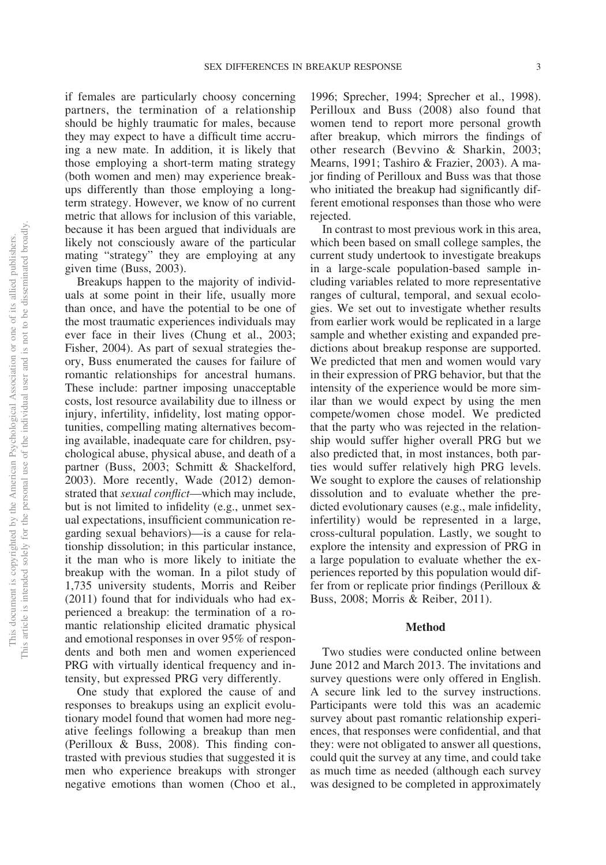if females are particularly choosy concerning partners, the termination of a relationship should be highly traumatic for males, because they may expect to have a difficult time accruing a new mate. In addition, it is likely that those employing a short-term mating strategy (both women and men) may experience breakups differently than those employing a longterm strategy. However, we know of no current metric that allows for inclusion of this variable, because it has been argued that individuals are likely not consciously aware of the particular mating "strategy" they are employing at any given time (Buss, 2003).

Breakups happen to the majority of individuals at some point in their life, usually more than once, and have the potential to be one of the most traumatic experiences individuals may ever face in their lives (Chung et al., 2003; Fisher, 2004). As part of sexual strategies theory, Buss enumerated the causes for failure of romantic relationships for ancestral humans. These include: partner imposing unacceptable costs, lost resource availability due to illness or injury, infertility, infidelity, lost mating opportunities, compelling mating alternatives becoming available, inadequate care for children, psychological abuse, physical abuse, and death of a partner (Buss, 2003; Schmitt & Shackelford, 2003). More recently, Wade (2012) demonstrated that *sexual conflict*—which may include, but is not limited to infidelity (e.g., unmet sexual expectations, insufficient communication regarding sexual behaviors)—is a cause for relationship dissolution; in this particular instance, it the man who is more likely to initiate the breakup with the woman. In a pilot study of 1,735 university students, Morris and Reiber (2011) found that for individuals who had experienced a breakup: the termination of a romantic relationship elicited dramatic physical and emotional responses in over 95% of respondents and both men and women experienced PRG with virtually identical frequency and intensity, but expressed PRG very differently.

One study that explored the cause of and responses to breakups using an explicit evolutionary model found that women had more negative feelings following a breakup than men (Perilloux & Buss, 2008). This finding contrasted with previous studies that suggested it is men who experience breakups with stronger negative emotions than women (Choo et al.,

1996; Sprecher, 1994; Sprecher et al., 1998). Perilloux and Buss (2008) also found that women tend to report more personal growth after breakup, which mirrors the findings of other research (Bevvino & Sharkin, 2003; Mearns, 1991; Tashiro & Frazier, 2003). A major finding of Perilloux and Buss was that those who initiated the breakup had significantly different emotional responses than those who were rejected.

In contrast to most previous work in this area, which been based on small college samples, the current study undertook to investigate breakups in a large-scale population-based sample including variables related to more representative ranges of cultural, temporal, and sexual ecologies. We set out to investigate whether results from earlier work would be replicated in a large sample and whether existing and expanded predictions about breakup response are supported. We predicted that men and women would vary in their expression of PRG behavior, but that the intensity of the experience would be more similar than we would expect by using the men compete/women chose model. We predicted that the party who was rejected in the relationship would suffer higher overall PRG but we also predicted that, in most instances, both parties would suffer relatively high PRG levels. We sought to explore the causes of relationship dissolution and to evaluate whether the predicted evolutionary causes (e.g., male infidelity, infertility) would be represented in a large, cross-cultural population. Lastly, we sought to explore the intensity and expression of PRG in a large population to evaluate whether the experiences reported by this population would differ from or replicate prior findings (Perilloux & Buss, 2008; Morris & Reiber, 2011).

#### **Method**

Two studies were conducted online between June 2012 and March 2013. The invitations and survey questions were only offered in English. A secure link led to the survey instructions. Participants were told this was an academic survey about past romantic relationship experiences, that responses were confidential, and that they: were not obligated to answer all questions, could quit the survey at any time, and could take as much time as needed (although each survey was designed to be completed in approximately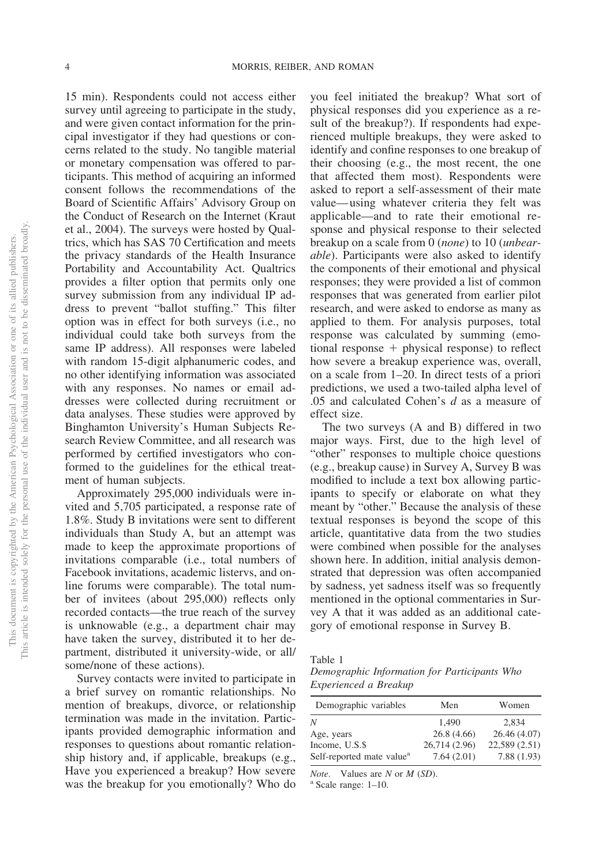15 min). Respondents could not access either survey until agreeing to participate in the study, and were given contact information for the principal investigator if they had questions or concerns related to the study. No tangible material or monetary compensation was offered to participants. This method of acquiring an informed consent follows the recommendations of the Board of Scientific Affairs' Advisory Group on the Conduct of Research on the Internet (Kraut et al., 2004). The surveys were hosted by Qualtrics, which has SAS 70 Certification and meets the privacy standards of the Health Insurance Portability and Accountability Act. Qualtrics provides a filter option that permits only one survey submission from any individual IP address to prevent "ballot stuffing." This filter option was in effect for both surveys (i.e., no individual could take both surveys from the same IP address). All responses were labeled with random 15-digit alphanumeric codes, and no other identifying information was associated with any responses. No names or email addresses were collected during recruitment or data analyses. These studies were approved by Binghamton University's Human Subjects Research Review Committee, and all research was performed by certified investigators who conformed to the guidelines for the ethical treatment of human subjects.

Approximately 295,000 individuals were invited and 5,705 participated, a response rate of 1.8%. Study B invitations were sent to different individuals than Study A, but an attempt was made to keep the approximate proportions of invitations comparable (i.e., total numbers of Facebook invitations, academic listervs, and online forums were comparable). The total number of invitees (about 295,000) reflects only recorded contacts—the true reach of the survey is unknowable (e.g., a department chair may have taken the survey, distributed it to her department, distributed it university-wide, or all/ some/none of these actions).

Survey contacts were invited to participate in a brief survey on romantic relationships. No mention of breakups, divorce, or relationship termination was made in the invitation. Participants provided demographic information and responses to questions about romantic relationship history and, if applicable, breakups (e.g., Have you experienced a breakup? How severe was the breakup for you emotionally? Who do

you feel initiated the breakup? What sort of physical responses did you experience as a result of the breakup?). If respondents had experienced multiple breakups, they were asked to identify and confine responses to one breakup of their choosing (e.g., the most recent, the one that affected them most). Respondents were asked to report a self-assessment of their mate value—using whatever criteria they felt was applicable—and to rate their emotional response and physical response to their selected breakup on a scale from 0 (*none*) to 10 (*unbearable*). Participants were also asked to identify the components of their emotional and physical responses; they were provided a list of common responses that was generated from earlier pilot research, and were asked to endorse as many as applied to them. For analysis purposes, total response was calculated by summing (emotional response  $+$  physical response) to reflect how severe a breakup experience was, overall, on a scale from 1–20. In direct tests of a priori predictions, we used a two-tailed alpha level of .05 and calculated Cohen's *d* as a measure of effect size.

The two surveys (A and B) differed in two major ways. First, due to the high level of "other" responses to multiple choice questions (e.g., breakup cause) in Survey A, Survey B was modified to include a text box allowing participants to specify or elaborate on what they meant by "other." Because the analysis of these textual responses is beyond the scope of this article, quantitative data from the two studies were combined when possible for the analyses shown here. In addition, initial analysis demonstrated that depression was often accompanied by sadness, yet sadness itself was so frequently mentioned in the optional commentaries in Survey A that it was added as an additional category of emotional response in Survey B.

Table 1

*Demographic Information for Participants Who Experienced a Breakup*

| Men           | Women         |
|---------------|---------------|
| 1.490         | 2.834         |
| 26.8(4.66)    | 26.46 (4.07)  |
| 26,714 (2.96) | 22,589 (2.51) |
| 7.64(2.01)    | 7.88(1.93)    |
|               |               |

*Note*. Values are *N* or *M* (*SD*). <sup>a</sup> Scale range: 1–10.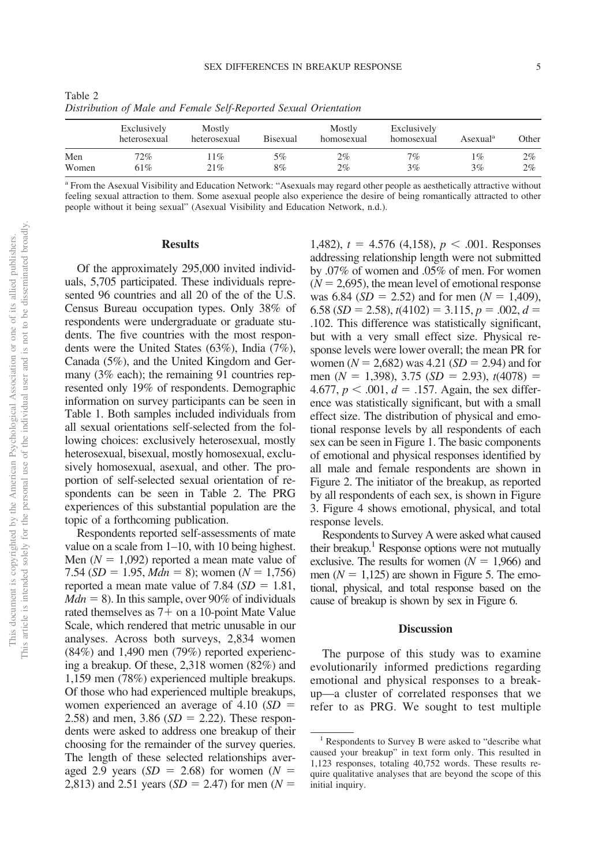|       | Exclusively<br>heterosexual | Mostly<br>heterosexual | <b>Bisexual</b> | Mostly<br>homosexual | Exclusively<br>homosexual | Asexual <sup>a</sup> | Other |
|-------|-----------------------------|------------------------|-----------------|----------------------|---------------------------|----------------------|-------|
| Men   | 72%                         | $1\%$                  | 5%              | 2%                   | 7%                        | 1%                   | $2\%$ |
| Women | 61%                         | 21%                    | 8%              | 2%                   | 3%                        | 3%                   | $2\%$ |

Table 2 *Distribution of Male and Female Self-Reported Sexual Orientation*

<sup>a</sup> From the Asexual Visibility and Education Network: "Asexuals may regard other people as aesthetically attractive without feeling sexual attraction to them. Some asexual people also experience the desire of being romantically attracted to other people without it being sexual" (Asexual Visibility and Education Network, n.d.).

#### **Results**

Of the approximately 295,000 invited individuals, 5,705 participated. These individuals represented 96 countries and all 20 of the of the U.S. Census Bureau occupation types. Only 38% of respondents were undergraduate or graduate students. The five countries with the most respondents were the United States (63%), India (7%), Canada (5%), and the United Kingdom and Germany (3% each); the remaining 91 countries represented only 19% of respondents. Demographic information on survey participants can be seen in Table 1. Both samples included individuals from all sexual orientations self-selected from the following choices: exclusively heterosexual, mostly heterosexual, bisexual, mostly homosexual, exclusively homosexual, asexual, and other. The proportion of self-selected sexual orientation of respondents can be seen in Table 2. The PRG experiences of this substantial population are the topic of a forthcoming publication.

Respondents reported self-assessments of mate value on a scale from 1–10, with 10 being highest. Men  $(N = 1,092)$  reported a mean mate value of 7.54 (*SD* = 1.95, *Mdn* = 8); women ( $N = 1,756$ ) reported a mean mate value of 7.84  $(SD = 1.81,$  $Mdn = 8$ ). In this sample, over 90% of individuals rated themselves as  $7+$  on a 10-point Mate Value Scale, which rendered that metric unusable in our analyses. Across both surveys, 2,834 women (84%) and 1,490 men (79%) reported experiencing a breakup. Of these, 2,318 women (82%) and 1,159 men (78%) experienced multiple breakups. Of those who had experienced multiple breakups, women experienced an average of 4.10 (*SD* 2.58) and men, 3.86 ( $SD = 2.22$ ). These respondents were asked to address one breakup of their choosing for the remainder of the survey queries. The length of these selected relationships averaged 2.9 years  $(SD = 2.68)$  for women  $(N =$ 2,813) and 2.51 years  $(SD = 2.47)$  for men  $(N =$ 

1,482),  $t = 4.576$  (4,158),  $p < .001$ . Responses addressing relationship length were not submitted by .07% of women and .05% of men. For women  $(N = 2,695)$ , the mean level of emotional response was 6.84 ( $SD = 2.52$ ) and for men ( $N = 1,409$ ), 6.58 (*SD* = 2.58),  $t(4102) = 3.115$ ,  $p = .002$ ,  $d =$ .102. This difference was statistically significant, but with a very small effect size. Physical response levels were lower overall; the mean PR for women  $(N = 2,682)$  was  $4.21$  (*SD* = 2.94) and for men ( $N = 1,398$ ), 3.75 ( $SD = 2.93$ ),  $t(4078) =$ 4.677,  $p < .001$ ,  $d = .157$ . Again, the sex difference was statistically significant, but with a small effect size. The distribution of physical and emotional response levels by all respondents of each sex can be seen in Figure 1. The basic components of emotional and physical responses identified by all male and female respondents are shown in Figure 2. The initiator of the breakup, as reported by all respondents of each sex, is shown in Figure 3. Figure 4 shows emotional, physical, and total response levels.

Respondents to Survey A were asked what caused their breakup.<sup>1</sup> Response options were not mutually exclusive. The results for women  $(N = 1,966)$  and men  $(N = 1,125)$  are shown in Figure 5. The emotional, physical, and total response based on the cause of breakup is shown by sex in Figure 6.

#### **Discussion**

The purpose of this study was to examine evolutionarily informed predictions regarding emotional and physical responses to a breakup—a cluster of correlated responses that we refer to as PRG. We sought to test multiple

<sup>1</sup> Respondents to Survey B were asked to "describe what caused your breakup" in text form only. This resulted in 1,123 responses, totaling 40,752 words. These results require qualitative analyses that are beyond the scope of this initial inquiry.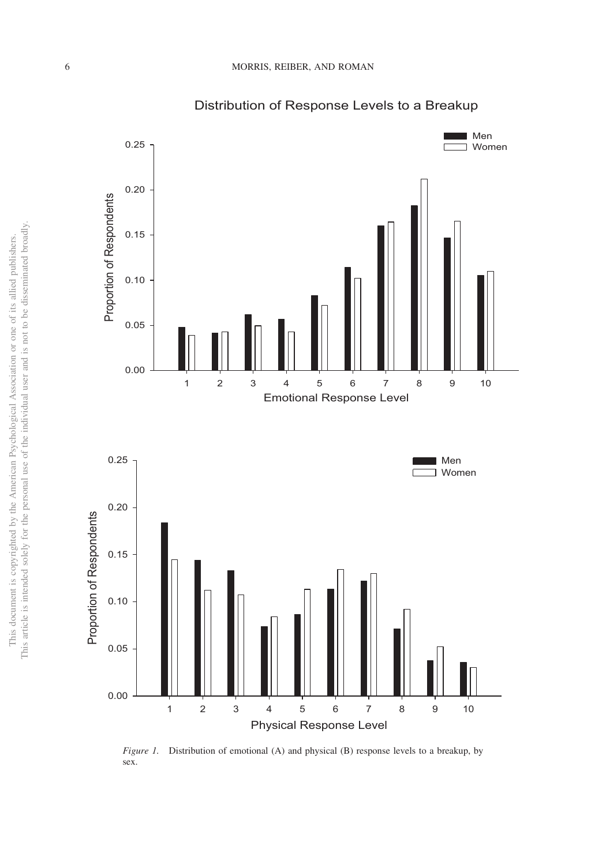

Distribution of Response Levels to a Breakup

*Figure 1.* Distribution of emotional (A) and physical (B) response levels to a breakup, by sex.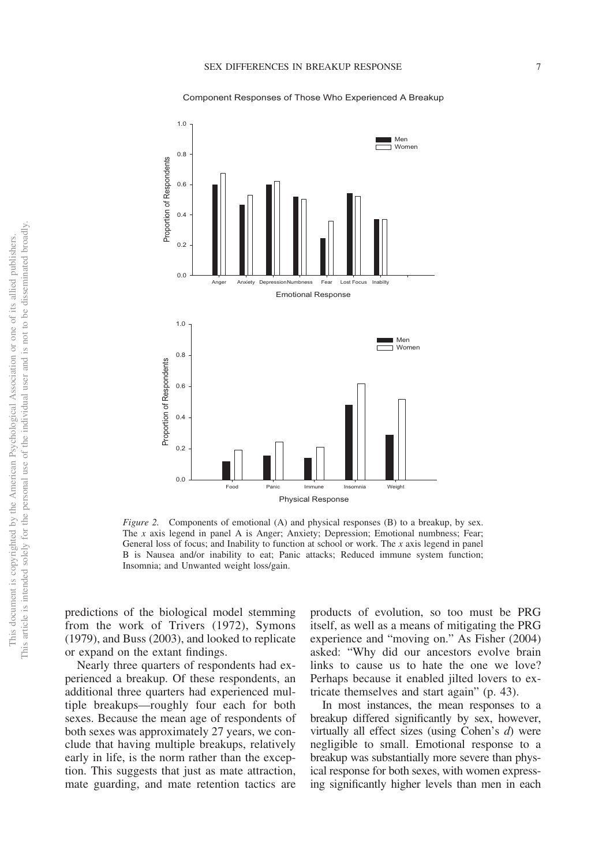#### Component Responses of Those Who Experienced A Breakup



*Figure 2.* Components of emotional (A) and physical responses (B) to a breakup, by sex. The *x* axis legend in panel A is Anger; Anxiety; Depression; Emotional numbness; Fear; General loss of focus; and Inability to function at school or work. The *x* axis legend in panel B is Nausea and/or inability to eat; Panic attacks; Reduced immune system function; Insomnia; and Unwanted weight loss/gain.

predictions of the biological model stemming from the work of Trivers (1972), Symons (1979), and Buss (2003), and looked to replicate or expand on the extant findings.

Nearly three quarters of respondents had experienced a breakup. Of these respondents, an additional three quarters had experienced multiple breakups—roughly four each for both sexes. Because the mean age of respondents of both sexes was approximately 27 years, we conclude that having multiple breakups, relatively early in life, is the norm rather than the exception. This suggests that just as mate attraction, mate guarding, and mate retention tactics are

products of evolution, so too must be PRG itself, as well as a means of mitigating the PRG experience and "moving on." As Fisher (2004) asked: "Why did our ancestors evolve brain links to cause us to hate the one we love? Perhaps because it enabled jilted lovers to extricate themselves and start again" (p. 43).

In most instances, the mean responses to a breakup differed significantly by sex, however, virtually all effect sizes (using Cohen's *d*) were negligible to small. Emotional response to a breakup was substantially more severe than physical response for both sexes, with women expressing significantly higher levels than men in each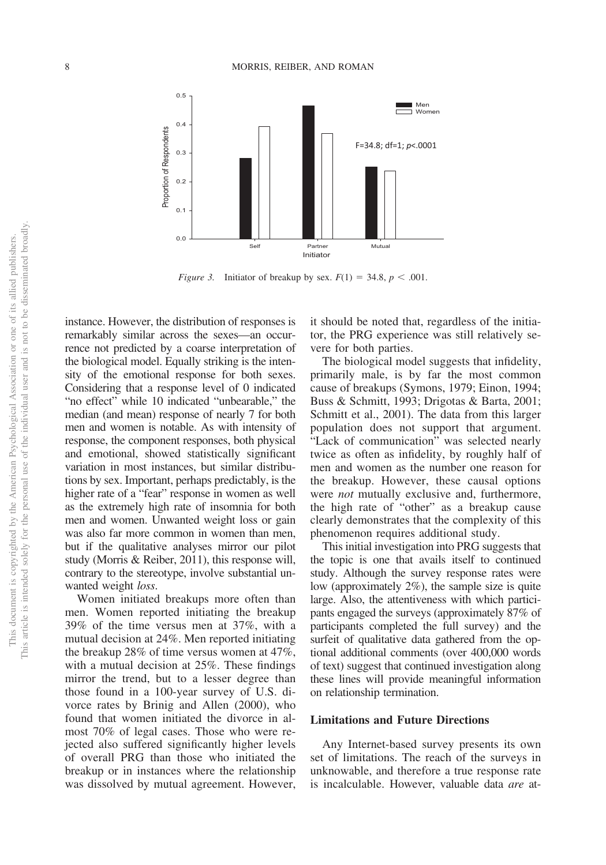

*Figure 3.* Initiator of breakup by sex.  $F(1) = 34.8$ ,  $p < .001$ .

instance. However, the distribution of responses is remarkably similar across the sexes—an occurrence not predicted by a coarse interpretation of the biological model. Equally striking is the intensity of the emotional response for both sexes. Considering that a response level of 0 indicated "no effect" while 10 indicated "unbearable," the median (and mean) response of nearly 7 for both men and women is notable. As with intensity of response, the component responses, both physical and emotional, showed statistically significant variation in most instances, but similar distributions by sex. Important, perhaps predictably, is the higher rate of a "fear" response in women as well as the extremely high rate of insomnia for both men and women. Unwanted weight loss or gain was also far more common in women than men, but if the qualitative analyses mirror our pilot study (Morris & Reiber, 2011), this response will, contrary to the stereotype, involve substantial unwanted weight *loss*.

Women initiated breakups more often than men. Women reported initiating the breakup 39% of the time versus men at 37%, with a mutual decision at 24%. Men reported initiating the breakup 28% of time versus women at 47%, with a mutual decision at 25%. These findings mirror the trend, but to a lesser degree than those found in a 100-year survey of U.S. divorce rates by Brinig and Allen (2000), who found that women initiated the divorce in almost 70% of legal cases. Those who were rejected also suffered significantly higher levels of overall PRG than those who initiated the breakup or in instances where the relationship was dissolved by mutual agreement. However, it should be noted that, regardless of the initiator, the PRG experience was still relatively severe for both parties.

The biological model suggests that infidelity, primarily male, is by far the most common cause of breakups (Symons, 1979; Einon, 1994; Buss & Schmitt, 1993; Drigotas & Barta, 2001; Schmitt et al., 2001). The data from this larger population does not support that argument. "Lack of communication" was selected nearly twice as often as infidelity, by roughly half of men and women as the number one reason for the breakup. However, these causal options were *not* mutually exclusive and, furthermore, the high rate of "other" as a breakup cause clearly demonstrates that the complexity of this phenomenon requires additional study.

This initial investigation into PRG suggests that the topic is one that avails itself to continued study. Although the survey response rates were low (approximately 2%), the sample size is quite large. Also, the attentiveness with which participants engaged the surveys (approximately 87% of participants completed the full survey) and the surfeit of qualitative data gathered from the optional additional comments (over 400,000 words of text) suggest that continued investigation along these lines will provide meaningful information on relationship termination.

#### **Limitations and Future Directions**

Any Internet-based survey presents its own set of limitations. The reach of the surveys in unknowable, and therefore a true response rate is incalculable. However, valuable data *are* at-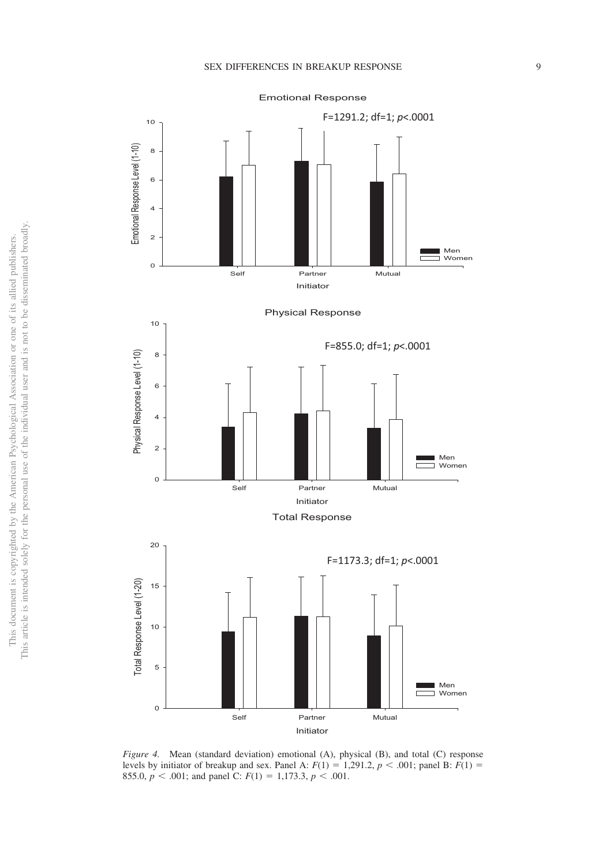

*Figure 4.* Mean (standard deviation) emotional (A), physical (B), and total (C) response levels by initiator of breakup and sex. Panel A:  $F(1) = 1,291.2$ ,  $p < .001$ ; panel B:  $F(1) =$ 855.0,  $p < .001$ ; and panel C:  $F(1) = 1,173.3, p < .001$ .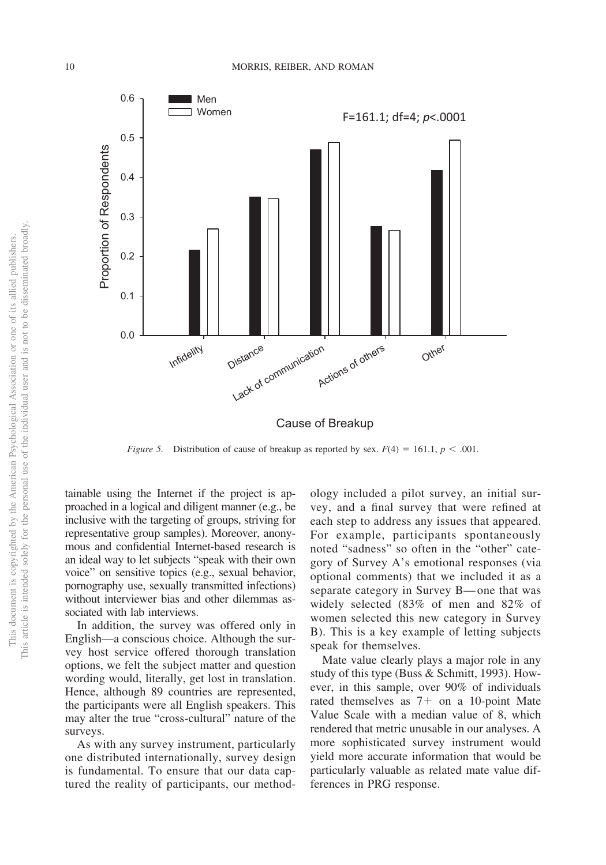

*Figure 5.* Distribution of cause of breakup as reported by sex.  $F(4) = 161.1$ ,  $p < .001$ .

tainable using the Internet if the project is approached in a logical and diligent manner (e.g., be inclusive with the targeting of groups, striving for representative group samples). Moreover, anonymous and confidential Internet-based research is an ideal way to let subjects "speak with their own voice" on sensitive topics (e.g., sexual behavior, pornography use, sexually transmitted infections) without interviewer bias and other dilemmas associated with lab interviews.

In addition, the survey was offered only in English—a conscious choice. Although the survey host service offered thorough translation options, we felt the subject matter and question wording would, literally, get lost in translation. Hence, although 89 countries are represented, the participants were all English speakers. This may alter the true "cross-cultural" nature of the surveys.

As with any survey instrument, particularly one distributed internationally, survey design is fundamental. To ensure that our data captured the reality of participants, our methodology included a pilot survey, an initial survey, and a final survey that were refined at each step to address any issues that appeared. For example, participants spontaneously noted "sadness" so often in the "other" category of Survey A's emotional responses (via optional comments) that we included it as a separate category in Survey B—one that was widely selected (83% of men and 82% of women selected this new category in Survey B). This is a key example of letting subjects speak for themselves.

Mate value clearly plays a major role in any study of this type (Buss & Schmitt, 1993). However, in this sample, over 90% of individuals rated themselves as  $7+$  on a 10-point Mate Value Scale with a median value of 8, which rendered that metric unusable in our analyses. A more sophisticated survey instrument would yield more accurate information that would be particularly valuable as related mate value differences in PRG response.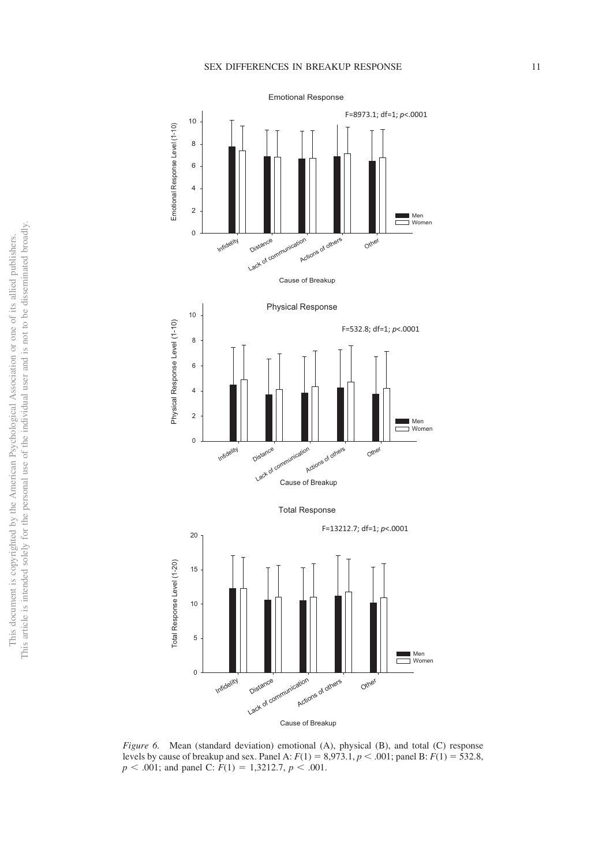

*Figure 6.* Mean (standard deviation) emotional (A), physical (B), and total (C) response levels by cause of breakup and sex. Panel A:  $F(1) = 8,973.1, p < .001$ ; panel B:  $F(1) = 532.8$ ,  $p < .001$ ; and panel C:  $F(1) = 1,3212.7, p < .001$ .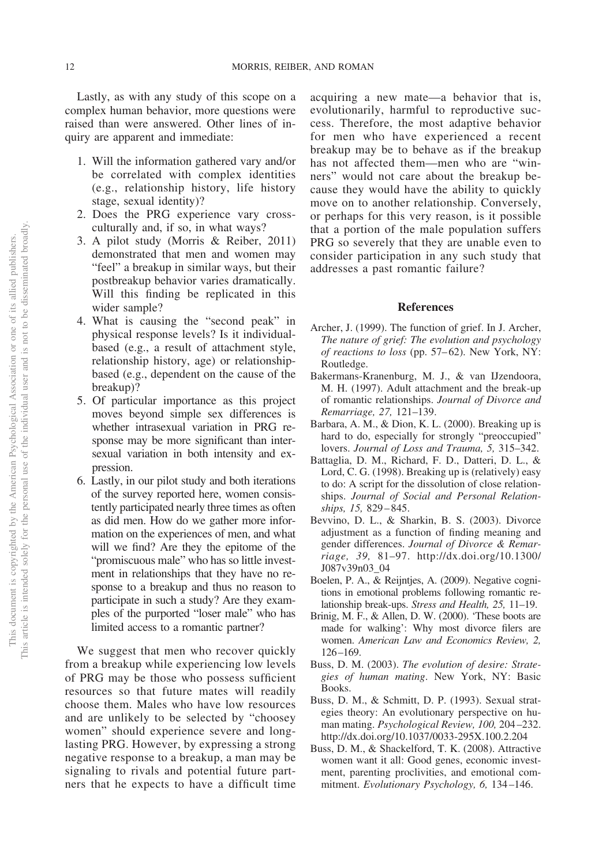Lastly, as with any study of this scope on a complex human behavior, more questions were raised than were answered. Other lines of inquiry are apparent and immediate:

- 1. Will the information gathered vary and/or be correlated with complex identities (e.g., relationship history, life history stage, sexual identity)?
- 2. Does the PRG experience vary crossculturally and, if so, in what ways?
- 3. A pilot study (Morris & Reiber, 2011) demonstrated that men and women may "feel" a breakup in similar ways, but their postbreakup behavior varies dramatically. Will this finding be replicated in this wider sample?
- 4. What is causing the "second peak" in physical response levels? Is it individualbased (e.g., a result of attachment style, relationship history, age) or relationshipbased (e.g., dependent on the cause of the breakup)?
- 5. Of particular importance as this project moves beyond simple sex differences is whether intrasexual variation in PRG response may be more significant than intersexual variation in both intensity and expression.
- 6. Lastly, in our pilot study and both iterations of the survey reported here, women consistently participated nearly three times as often as did men. How do we gather more information on the experiences of men, and what will we find? Are they the epitome of the "promiscuous male" who has so little investment in relationships that they have no response to a breakup and thus no reason to participate in such a study? Are they examples of the purported "loser male" who has limited access to a romantic partner?

We suggest that men who recover quickly from a breakup while experiencing low levels of PRG may be those who possess sufficient resources so that future mates will readily choose them. Males who have low resources and are unlikely to be selected by "choosey women" should experience severe and longlasting PRG. However, by expressing a strong negative response to a breakup, a man may be signaling to rivals and potential future partners that he expects to have a difficult time

acquiring a new mate—a behavior that is, evolutionarily, harmful to reproductive success. Therefore, the most adaptive behavior for men who have experienced a recent breakup may be to behave as if the breakup has not affected them—men who are "winners" would not care about the breakup because they would have the ability to quickly move on to another relationship. Conversely, or perhaps for this very reason, is it possible that a portion of the male population suffers PRG so severely that they are unable even to consider participation in any such study that addresses a past romantic failure?

#### **References**

- Archer, J. (1999). The function of grief. In J. Archer, *The nature of grief: The evolution and psychology of reactions to loss* (pp. 57–62). New York, NY: Routledge.
- Bakermans-Kranenburg, M. J., & van IJzendoora, M. H. (1997). Adult attachment and the break-up of romantic relationships. *Journal of Divorce and Remarriage, 27,* 121–139.
- Barbara, A. M., & Dion, K. L. (2000). Breaking up is hard to do, especially for strongly "preoccupied" lovers. *Journal of Loss and Trauma, 5,* 315–342.
- Battaglia, D. M., Richard, F. D., Datteri, D. L., & Lord, C. G. (1998). Breaking up is (relatively) easy to do: A script for the dissolution of close relationships. *Journal of Social and Personal Relationships, 15,* 829–845.
- Bevvino, D. L., & Sharkin, B. S. (2003). Divorce adjustment as a function of finding meaning and gender differences. *Journal of Divorce & Remarriage, 39,* 81–97. http://dx.doi.org/10.1300/ J087v39n03\_04
- Boelen, P. A., & Reijntjes, A. (2009). Negative cognitions in emotional problems following romantic relationship break-ups. *Stress and Health, 25,* 11–19.
- Brinig, M. F., & Allen, D. W. (2000). 'These boots are made for walking': Why most divorce filers are women. *American Law and Economics Review, 2,* 126–169.
- Buss, D. M. (2003). *The evolution of desire: Strategies of human mating*. New York, NY: Basic Books.
- Buss, D. M., & Schmitt, D. P. (1993). Sexual strategies theory: An evolutionary perspective on human mating. *Psychological Review, 100,* 204–232. http://dx.doi.org/10.1037/0033-295X.100.2.204
- Buss, D. M., & Shackelford, T. K. (2008). Attractive women want it all: Good genes, economic investment, parenting proclivities, and emotional commitment. *Evolutionary Psychology, 6,* 134–146.